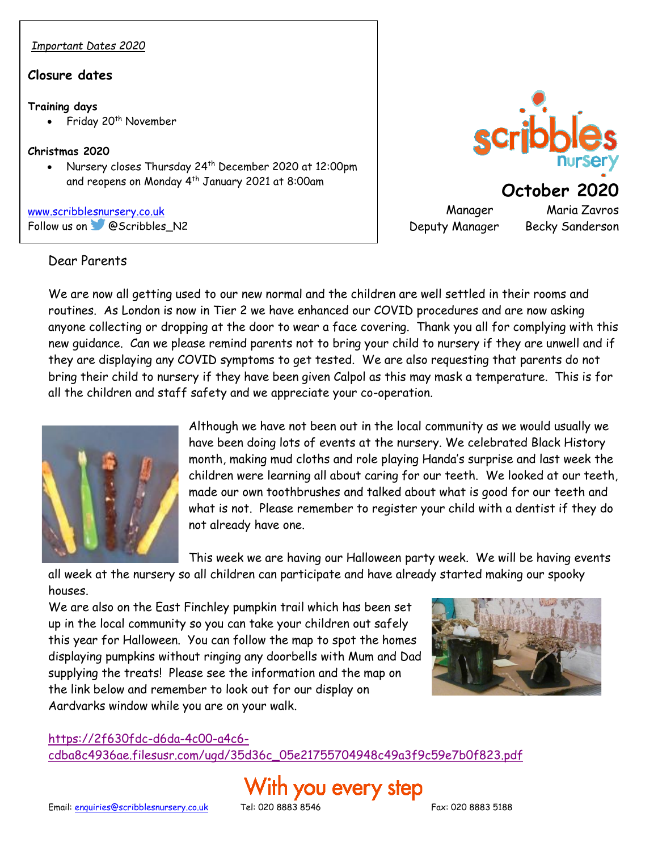# *Important Dates 2020*

#### **Closure dates**

#### **Training days**

Friday 20<sup>th</sup> November

#### **Christmas 2020**

• Nursery closes Thursday 24th December 2020 at 12:00pm and reopens on Monday 4<sup>th</sup> January 2021 at 8:00am

[www.scribblesnursery.co.uk](http://www.scribblesnursery.co.uk/) Followus on **@Scribbles\_N2** 

#### Dear Parents



Manager Maria Zavros Deputy Manager Becky Sanderson

We are now all getting used to our new normal and the children are well settled in their rooms and routines. As London is now in Tier 2 we have enhanced our COVID procedures and are now asking anyone collecting or dropping at the door to wear a face covering. Thank you all for complying with this new guidance. Can we please remind parents not to bring your child to nursery if they are unwell and if they are displaying any COVID symptoms to get tested. We are also requesting that parents do not bring their child to nursery if they have been given Calpol as this may mask a temperature. This is for all the children and staff safety and we appreciate your co-operation.



Although we have not been out in the local community as we would usually we have been doing lots of events at the nursery. We celebrated Black History month, making mud cloths and role playing Handa's surprise and last week the children were learning all about caring for our teeth. We looked at our teeth, made our own toothbrushes and talked about what is good for our teeth and what is not. Please remember to register your child with a dentist if they do not already have one.

This week we are having our Halloween party week. We will be having events

all week at the nursery so all children can participate and have already started making our spooky houses.

We are also on the East Finchley pumpkin trail which has been set up in the local community so you can take your children out safely this year for Halloween. You can follow the map to spot the homes displaying pumpkins without ringing any doorbells with Mum and Dad supplying the treats! Please see the information and the map on the link below and remember to look out for our display on Aardvarks window while you are on your walk.



#### [https://2f630fdc-d6da-4c00-a4c6-](https://2f630fdc-d6da-4c00-a4c6-cdba8c4936ae.filesusr.com/ugd/35d36c_05e21755704948c49a3f9c59e7b0f823.pdf)

[cdba8c4936ae.filesusr.com/ugd/35d36c\\_05e21755704948c49a3f9c59e7b0f823.pdf](https://2f630fdc-d6da-4c00-a4c6-cdba8c4936ae.filesusr.com/ugd/35d36c_05e21755704948c49a3f9c59e7b0f823.pdf)

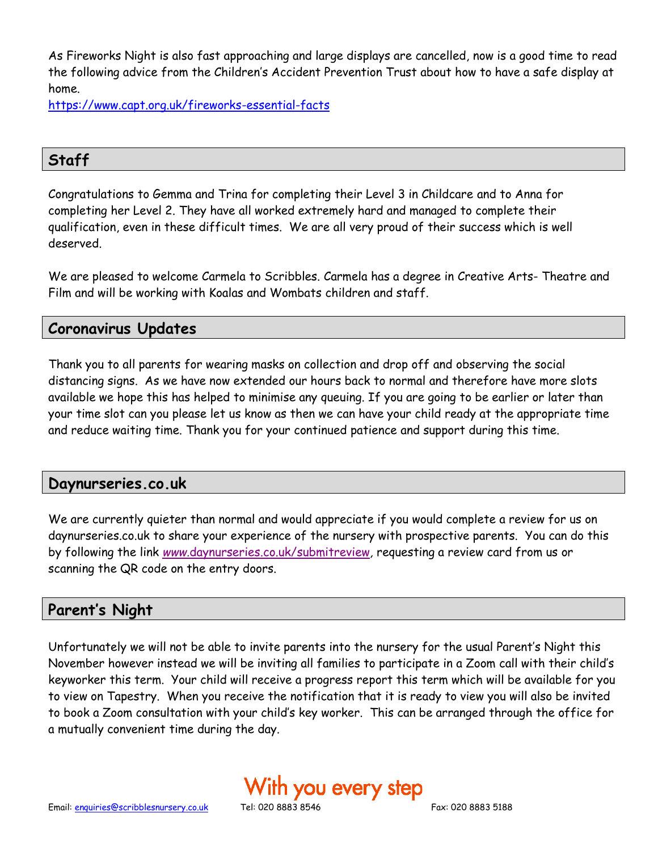As Fireworks Night is also fast approaching and large displays are cancelled, now is a good time to read the following advice from the Children's Accident Prevention Trust about how to have a safe display at home.

<https://www.capt.org.uk/fireworks-essential-facts>

# **Staff**

Congratulations to Gemma and Trina for completing their Level 3 in Childcare and to Anna for completing her Level 2. They have all worked extremely hard and managed to complete their qualification, even in these difficult times. We are all very proud of their success which is well deserved.

We are pleased to welcome Carmela to Scribbles. Carmela has a degree in Creative Arts- Theatre and Film and will be working with Koalas and Wombats children and staff.

## **Coronavirus Updates**

Thank you to all parents for wearing masks on collection and drop off and observing the social distancing signs. As we have now extended our hours back to normal and therefore have more slots available we hope this has helped to minimise any queuing. If you are going to be earlier or later than your time slot can you please let us know as then we can have your child ready at the appropriate time and reduce waiting time. Thank you for your continued patience and support during this time.

#### **Daynurseries.co.uk**

We are currently quieter than normal and would appreciate if you would complete a review for us on daynurseries.co.uk to share your experience of the nursery with prospective parents.You can do this by following the link *www.*[daynurseries.co.uk/submitreview](http://www.daynurseries.co.uk/submitreview)*,* requesting a review card from us or scanning the QR code on the entry doors.

### **Parent's Night**

Unfortunately we will not be able to invite parents into the nursery for the usual Parent's Night this November however instead we will be inviting all families to participate in a Zoom call with their child's keyworker this term. Your child will receive a progress report this term which will be available for you to view on Tapestry. When you receive the notification that it is ready to view you will also be invited to book a Zoom consultation with your child's key worker. This can be arranged through the office for a mutually convenient time during the day.

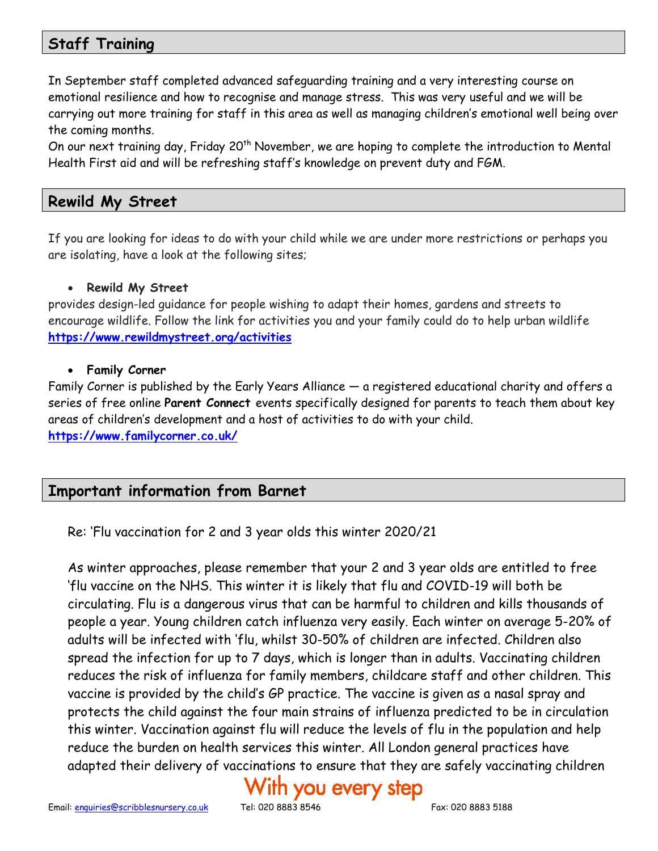# **Staff Training**

In September staff completed advanced safeguarding training and a very interesting course on emotional resilience and how to recognise and manage stress. This was very useful and we will be carrying out more training for staff in this area as well as managing children's emotional well being over the coming months.

On our next training day, Friday 20<sup>th</sup> November, we are hoping to complete the introduction to Mental Health First aid and will be refreshing staff's knowledge on prevent duty and FGM.

#### **Rewild My Street**

If you are looking for ideas to do with your child while we are under more restrictions or perhaps you are isolating, have a look at the following sites;

#### • **Rewild My Street**

provides design-led guidance for people wishing to adapt their homes, gardens and streets to encourage wildlife. Follow the link for activities you and your family could do to help urban wildlife **<https://www.rewildmystreet.org/activities>**

#### • **Family Corner**

Family Corner is published by the Early Years Alliance — a registered educational charity and offers a series of free online **Parent Connect** events specifically designed for parents to teach them about key areas of children's development and a host of activities to do with your child. **<https://www.familycorner.co.uk/>**

# **Important information from Barnet**

Re: 'Flu vaccination for 2 and 3 year olds this winter 2020/21

As winter approaches, please remember that your 2 and 3 year olds are entitled to free 'flu vaccine on the NHS. This winter it is likely that flu and COVID-19 will both be circulating. Flu is a dangerous virus that can be harmful to children and kills thousands of people a year. Young children catch influenza very easily. Each winter on average 5-20% of adults will be infected with 'flu, whilst 30-50% of children are infected. Children also spread the infection for up to 7 days, which is longer than in adults. Vaccinating children reduces the risk of influenza for family members, childcare staff and other children. This vaccine is provided by the child's GP practice. The vaccine is given as a nasal spray and protects the child against the four main strains of influenza predicted to be in circulation this winter. Vaccination against flu will reduce the levels of flu in the population and help reduce the burden on health services this winter. All London general practices have adapted their delivery of vaccinations to ensure that they are safely vaccinating children

# ith you every step